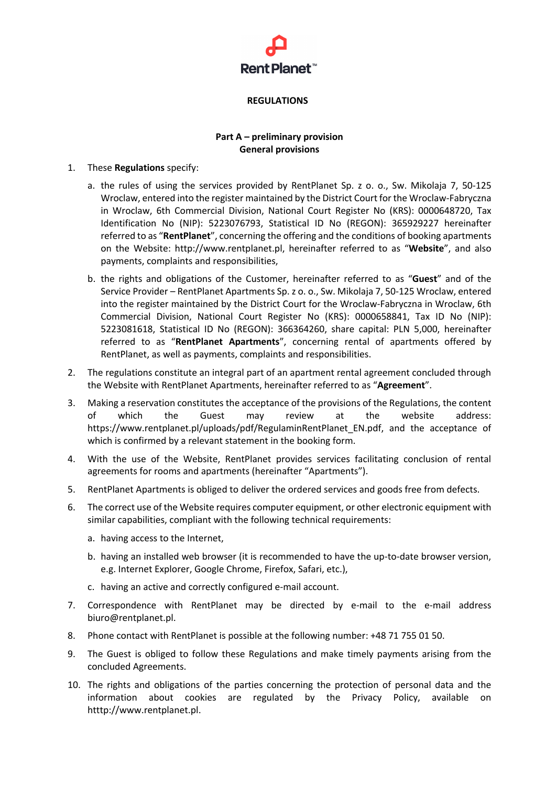

### **REGULATIONS**

# **Part A – preliminary provision General provisions**

### 1. These **Regulations** specify:

- a. the rules of using the services provided by RentPlanet Sp. z o. o., Sw. Mikolaja 7, 50-125 Wroclaw, entered into the register maintained by the District Court for the Wroclaw-Fabryczna in Wroclaw, 6th Commercial Division, National Court Register No (KRS): 0000648720, Tax Identification No (NIP): 5223076793, Statistical ID No (REGON): 365929227 hereinafter referred to as "**RentPlanet**", concerning the offering and the conditions of booking apartments on the Website: http://www.rentplanet.pl, hereinafter referred to as "**Website**", and also payments, complaints and responsibilities,
- b. the rights and obligations of the Customer, hereinafter referred to as "**Guest**" and of the Service Provider – RentPlanet Apartments Sp. z o. o., Sw. Mikolaja 7, 50-125 Wroclaw, entered into the register maintained by the District Court for the Wroclaw-Fabryczna in Wroclaw, 6th Commercial Division, National Court Register No (KRS): 0000658841, Tax ID No (NIP): 5223081618, Statistical ID No (REGON): 366364260, share capital: PLN 5,000, hereinafter referred to as "**RentPlanet Apartments**", concerning rental of apartments offered by RentPlanet, as well as payments, complaints and responsibilities.
- 2. The regulations constitute an integral part of an apartment rental agreement concluded through the Website with RentPlanet Apartments, hereinafter referred to as "**Agreement**".
- 3. Making a reservation constitutes the acceptance of the provisions of the Regulations, the content of which the Guest may review at the website address: https://www.rentplanet.pl/uploads/pdf/RegulaminRentPlanet\_EN.pdf, and the acceptance of which is confirmed by a relevant statement in the booking form.
- 4. With the use of the Website, RentPlanet provides services facilitating conclusion of rental agreements for rooms and apartments (hereinafter "Apartments").
- 5. RentPlanet Apartments is obliged to deliver the ordered services and goods free from defects.
- 6. The correct use of the Website requires computer equipment, or other electronic equipment with similar capabilities, compliant with the following technical requirements:
	- a. having access to the Internet,
	- b. having an installed web browser (it is recommended to have the up-to-date browser version, e.g. Internet Explorer, Google Chrome, Firefox, Safari, etc.),
	- c. having an active and correctly configured e-mail account.
- 7. Correspondence with RentPlanet may be directed by e-mail to the e-mail address biuro@rentplanet.pl.
- 8. Phone contact with RentPlanet is possible at the following number: +48 71 755 01 50.
- 9. The Guest is obliged to follow these Regulations and make timely payments arising from the concluded Agreements.
- 10. The rights and obligations of the parties concerning the protection of personal data and the information about cookies are regulated by the Privacy Policy, available on htttp://www.rentplanet.pl.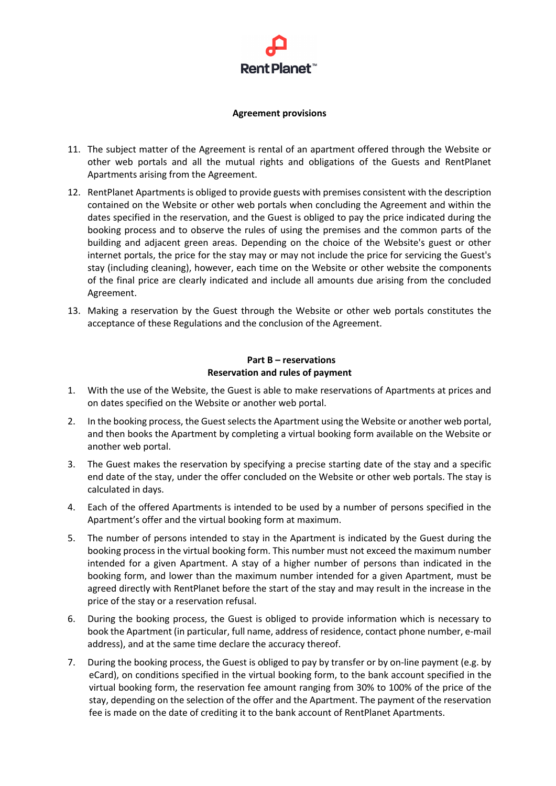

### **Agreement provisions**

- 11. The subject matter of the Agreement is rental of an apartment offered through the Website or other web portals and all the mutual rights and obligations of the Guests and RentPlanet Apartments arising from the Agreement.
- 12. RentPlanet Apartments is obliged to provide guests with premises consistent with the description contained on the Website or other web portals when concluding the Agreement and within the dates specified in the reservation, and the Guest is obliged to pay the price indicated during the booking process and to observe the rules of using the premises and the common parts of the building and adjacent green areas. Depending on the choice of the Website's guest or other internet portals, the price for the stay may or may not include the price for servicing the Guest's stay (including cleaning), however, each time on the Website or other website the components of the final price are clearly indicated and include all amounts due arising from the concluded Agreement.
- 13. Making a reservation by the Guest through the Website or other web portals constitutes the acceptance of these Regulations and the conclusion of the Agreement.

## **Part B – reservations Reservation and rules of payment**

- 1. With the use of the Website, the Guest is able to make reservations of Apartments at prices and on dates specified on the Website or another web portal.
- 2. In the booking process, the Guest selects the Apartment using the Website or another web portal, and then books the Apartment by completing a virtual booking form available on the Website or another web portal.
- 3. The Guest makes the reservation by specifying a precise starting date of the stay and a specific end date of the stay, under the offer concluded on the Website or other web portals. The stay is calculated in days.
- 4. Each of the offered Apartments is intended to be used by a number of persons specified in the Apartment's offer and the virtual booking form at maximum.
- 5. The number of persons intended to stay in the Apartment is indicated by the Guest during the booking process in the virtual booking form. This number must not exceed the maximum number intended for a given Apartment. A stay of a higher number of persons than indicated in the booking form, and lower than the maximum number intended for a given Apartment, must be agreed directly with RentPlanet before the start of the stay and may result in the increase in the price of the stay or a reservation refusal.
- 6. During the booking process, the Guest is obliged to provide information which is necessary to book the Apartment (in particular, full name, address of residence, contact phone number, e-mail address), and at the same time declare the accuracy thereof.
- 7. During the booking process, the Guest is obliged to pay by transfer or by on-line payment (e.g. by eCard), on conditions specified in the virtual booking form, to the bank account specified in the virtual booking form, the reservation fee amount ranging from 30% to 100% of the price of the stay, depending on the selection of the offer and the Apartment. The payment of the reservation fee is made on the date of crediting it to the bank account of RentPlanet Apartments.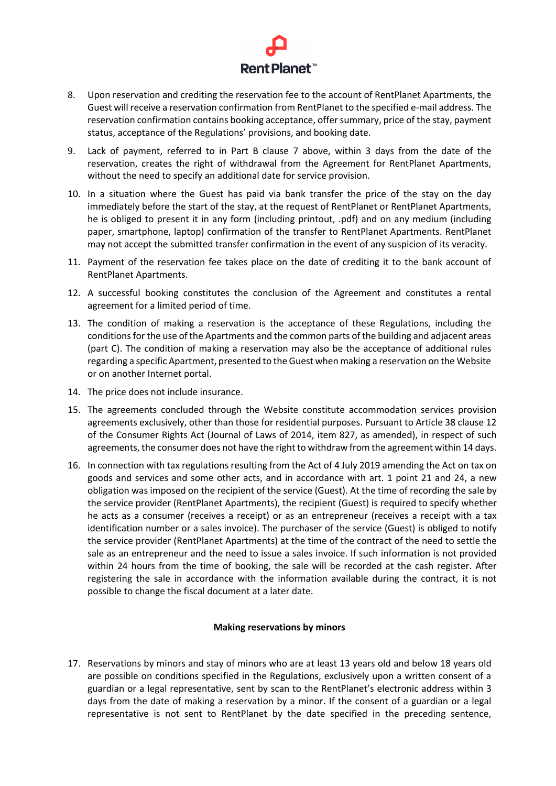

- 8. Upon reservation and crediting the reservation fee to the account of RentPlanet Apartments, the Guest will receive a reservation confirmation from RentPlanet to the specified e-mail address. The reservation confirmation contains booking acceptance, offer summary, price of the stay, payment status, acceptance of the Regulations' provisions, and booking date.
- 9. Lack of payment, referred to in Part B clause 7 above, within 3 days from the date of the reservation, creates the right of withdrawal from the Agreement for RentPlanet Apartments, without the need to specify an additional date for service provision.
- 10. In a situation where the Guest has paid via bank transfer the price of the stay on the day immediately before the start of the stay, at the request of RentPlanet or RentPlanet Apartments, he is obliged to present it in any form (including printout, .pdf) and on any medium (including paper, smartphone, laptop) confirmation of the transfer to RentPlanet Apartments. RentPlanet may not accept the submitted transfer confirmation in the event of any suspicion of its veracity.
- 11. Payment of the reservation fee takes place on the date of crediting it to the bank account of RentPlanet Apartments.
- 12. A successful booking constitutes the conclusion of the Agreement and constitutes a rental agreement for a limited period of time.
- 13. The condition of making a reservation is the acceptance of these Regulations, including the conditions for the use of the Apartments and the common parts of the building and adjacent areas (part C). The condition of making a reservation may also be the acceptance of additional rules regarding a specific Apartment, presented to the Guest when making a reservation on the Website or on another Internet portal.
- 14. The price does not include insurance.
- 15. The agreements concluded through the Website constitute accommodation services provision agreements exclusively, other than those for residential purposes. Pursuant to Article 38 clause 12 of the Consumer Rights Act (Journal of Laws of 2014, item 827, as amended), in respect of such agreements, the consumer does not have the right to withdraw from the agreement within 14 days.
- 16. In connection with tax regulations resulting from the Act of 4 July 2019 amending the Act on tax on goods and services and some other acts, and in accordance with art. 1 point 21 and 24, a new obligation was imposed on the recipient of the service (Guest). At the time of recording the sale by the service provider (RentPlanet Apartments), the recipient (Guest) is required to specify whether he acts as a consumer (receives a receipt) or as an entrepreneur (receives a receipt with a tax identification number or a sales invoice). The purchaser of the service (Guest) is obliged to notify the service provider (RentPlanet Apartments) at the time of the contract of the need to settle the sale as an entrepreneur and the need to issue a sales invoice. If such information is not provided within 24 hours from the time of booking, the sale will be recorded at the cash register. After registering the sale in accordance with the information available during the contract, it is not possible to change the fiscal document at a later date.

### **Making reservations by minors**

17. Reservations by minors and stay of minors who are at least 13 years old and below 18 years old are possible on conditions specified in the Regulations, exclusively upon a written consent of a guardian or a legal representative, sent by scan to the RentPlanet's electronic address within 3 days from the date of making a reservation by a minor. If the consent of a guardian or a legal representative is not sent to RentPlanet by the date specified in the preceding sentence,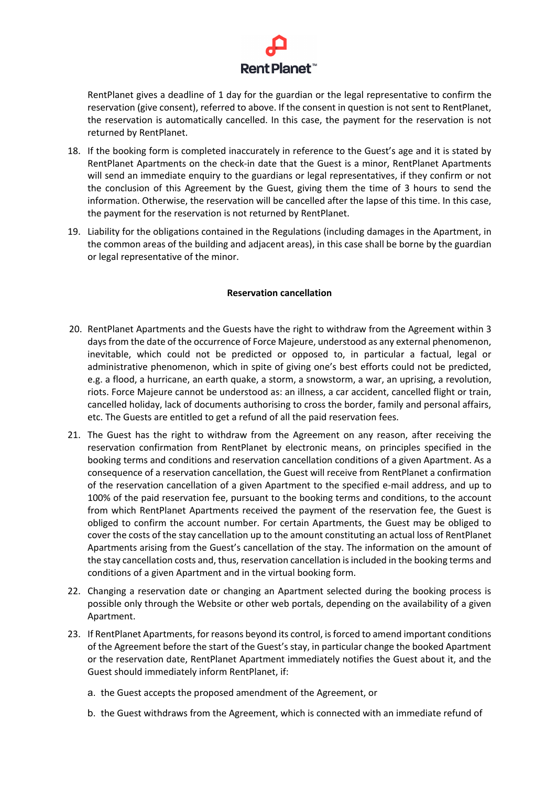

RentPlanet gives a deadline of 1 day for the guardian or the legal representative to confirm the reservation (give consent), referred to above. If the consent in question is not sent to RentPlanet, the reservation is automatically cancelled. In this case, the payment for the reservation is not returned by RentPlanet.

- 18. If the booking form is completed inaccurately in reference to the Guest's age and it is stated by RentPlanet Apartments on the check-in date that the Guest is a minor, RentPlanet Apartments will send an immediate enquiry to the guardians or legal representatives, if they confirm or not the conclusion of this Agreement by the Guest, giving them the time of 3 hours to send the information. Otherwise, the reservation will be cancelled after the lapse of this time. In this case, the payment for the reservation is not returned by RentPlanet.
- 19. Liability for the obligations contained in the Regulations (including damages in the Apartment, in the common areas of the building and adjacent areas), in this case shall be borne by the guardian or legal representative of the minor.

## **Reservation cancellation**

- 20. RentPlanet Apartments and the Guests have the right to withdraw from the Agreement within 3 days from the date of the occurrence of Force Majeure, understood as any external phenomenon, inevitable, which could not be predicted or opposed to, in particular a factual, legal or administrative phenomenon, which in spite of giving one's best efforts could not be predicted, e.g. a flood, a hurricane, an earth quake, a storm, a snowstorm, a war, an uprising, a revolution, riots. Force Majeure cannot be understood as: an illness, a car accident, cancelled flight or train, cancelled holiday, lack of documents authorising to cross the border, family and personal affairs, etc. The Guests are entitled to get a refund of all the paid reservation fees.
- 21. The Guest has the right to withdraw from the Agreement on any reason, after receiving the reservation confirmation from RentPlanet by electronic means, on principles specified in the booking terms and conditions and reservation cancellation conditions of a given Apartment. As a consequence of a reservation cancellation, the Guest will receive from RentPlanet a confirmation of the reservation cancellation of a given Apartment to the specified e-mail address, and up to 100% of the paid reservation fee, pursuant to the booking terms and conditions, to the account from which RentPlanet Apartments received the payment of the reservation fee, the Guest is obliged to confirm the account number. For certain Apartments, the Guest may be obliged to cover the costs of the stay cancellation up to the amount constituting an actual loss of RentPlanet Apartments arising from the Guest's cancellation of the stay. The information on the amount of the stay cancellation costs and, thus, reservation cancellation is included in the booking terms and conditions of a given Apartment and in the virtual booking form.
- 22. Changing a reservation date or changing an Apartment selected during the booking process is possible only through the Website or other web portals, depending on the availability of a given Apartment.
- 23. If RentPlanet Apartments, for reasons beyond its control, is forced to amend important conditions of the Agreement before the start of the Guest's stay, in particular change the booked Apartment or the reservation date, RentPlanet Apartment immediately notifies the Guest about it, and the Guest should immediately inform RentPlanet, if:
	- a. the Guest accepts the proposed amendment of the Agreement, or
	- b. the Guest withdraws from the Agreement, which is connected with an immediate refund of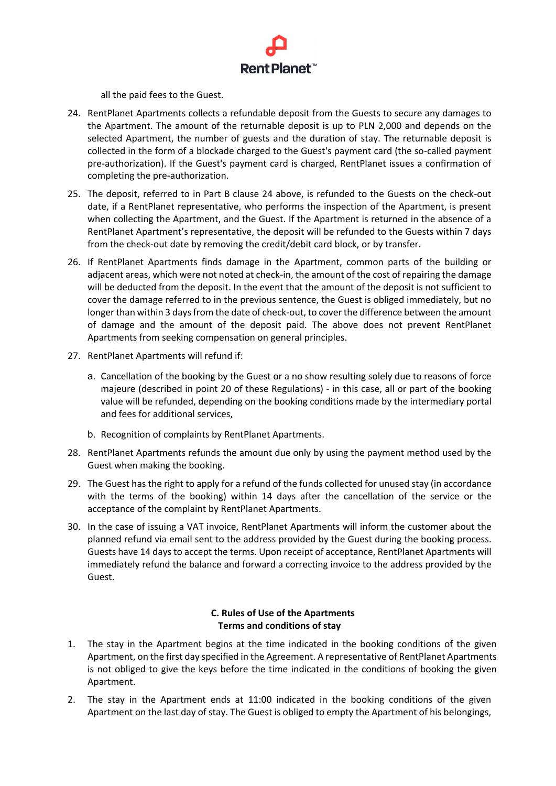

all the paid fees to the Guest.

- 24. RentPlanet Apartments collects a refundable deposit from the Guests to secure any damages to the Apartment. The amount of the returnable deposit is up to PLN 2,000 and depends on the selected Apartment, the number of guests and the duration of stay. The returnable deposit is collected in the form of a blockade charged to the Guest's payment card (the so-called payment pre-authorization). If the Guest's payment card is charged, RentPlanet issues a confirmation of completing the pre-authorization.
- 25. The deposit, referred to in Part B clause 24 above, is refunded to the Guests on the check-out date, if a RentPlanet representative, who performs the inspection of the Apartment, is present when collecting the Apartment, and the Guest. If the Apartment is returned in the absence of a RentPlanet Apartment's representative, the deposit will be refunded to the Guests within 7 days from the check-out date by removing the credit/debit card block, or by transfer.
- 26. If RentPlanet Apartments finds damage in the Apartment, common parts of the building or adjacent areas, which were not noted at check-in, the amount of the cost of repairing the damage will be deducted from the deposit. In the event that the amount of the deposit is not sufficient to cover the damage referred to in the previous sentence, the Guest is obliged immediately, but no longer than within 3 days from the date of check-out, to cover the difference between the amount of damage and the amount of the deposit paid. The above does not prevent RentPlanet Apartments from seeking compensation on general principles.
- 27. RentPlanet Apartments will refund if:
	- a. Cancellation of the booking by the Guest or a no show resulting solely due to reasons of force majeure (described in point 20 of these Regulations) - in this case, all or part of the booking value will be refunded, depending on the booking conditions made by the intermediary portal and fees for additional services,
	- b. Recognition of complaints by RentPlanet Apartments.
- 28. RentPlanet Apartments refunds the amount due only by using the payment method used by the Guest when making the booking.
- 29. The Guest has the right to apply for a refund of the funds collected for unused stay (in accordance with the terms of the booking) within 14 days after the cancellation of the service or the acceptance of the complaint by RentPlanet Apartments.
- 30. In the case of issuing a VAT invoice, RentPlanet Apartments will inform the customer about the planned refund via email sent to the address provided by the Guest during the booking process. Guests have 14 days to accept the terms. Upon receipt of acceptance, RentPlanet Apartments will immediately refund the balance and forward a correcting invoice to the address provided by the Guest.

# **C. Rules of Use of the Apartments Terms and conditions of stay**

- 1. The stay in the Apartment begins at the time indicated in the booking conditions of the given Apartment, on the first day specified in the Agreement. A representative of RentPlanet Apartments is not obliged to give the keys before the time indicated in the conditions of booking the given Apartment.
- 2. The stay in the Apartment ends at 11:00 indicated in the booking conditions of the given Apartment on the last day of stay. The Guest is obliged to empty the Apartment of his belongings,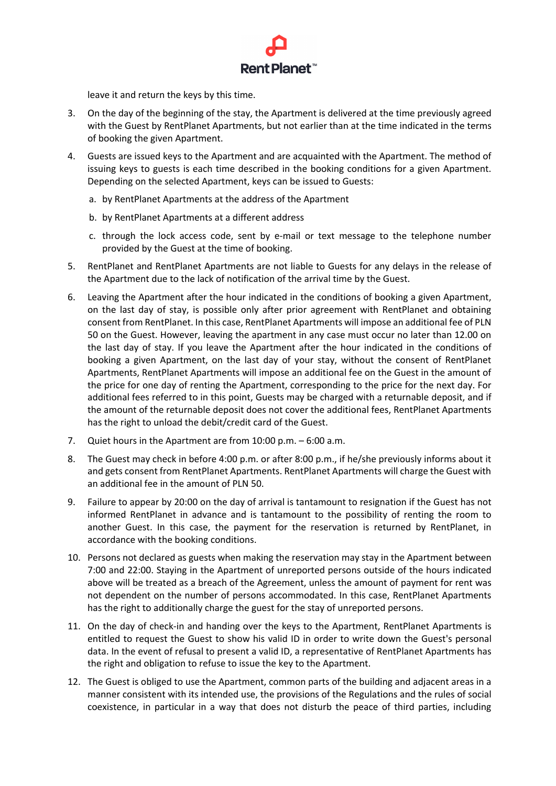

leave it and return the keys by this time.

- 3. On the day of the beginning of the stay, the Apartment is delivered at the time previously agreed with the Guest by RentPlanet Apartments, but not earlier than at the time indicated in the terms of booking the given Apartment.
- 4. Guests are issued keys to the Apartment and are acquainted with the Apartment. The method of issuing keys to guests is each time described in the booking conditions for a given Apartment. Depending on the selected Apartment, keys can be issued to Guests:
	- a. by RentPlanet Apartments at the address of the Apartment
	- b. by RentPlanet Apartments at a different address
	- c. through the lock access code, sent by e-mail or text message to the telephone number provided by the Guest at the time of booking.
- 5. RentPlanet and RentPlanet Apartments are not liable to Guests for any delays in the release of the Apartment due to the lack of notification of the arrival time by the Guest.
- 6. Leaving the Apartment after the hour indicated in the conditions of booking a given Apartment, on the last day of stay, is possible only after prior agreement with RentPlanet and obtaining consent from RentPlanet. In this case, RentPlanet Apartments will impose an additional fee of PLN 50 on the Guest. However, leaving the apartment in any case must occur no later than 12.00 on the last day of stay. If you leave the Apartment after the hour indicated in the conditions of booking a given Apartment, on the last day of your stay, without the consent of RentPlanet Apartments, RentPlanet Apartments will impose an additional fee on the Guest in the amount of the price for one day of renting the Apartment, corresponding to the price for the next day. For additional fees referred to in this point, Guests may be charged with a returnable deposit, and if the amount of the returnable deposit does not cover the additional fees, RentPlanet Apartments has the right to unload the debit/credit card of the Guest.
- 7. Quiet hours in the Apartment are from 10:00 p.m. 6:00 a.m.
- 8. The Guest may check in before 4:00 p.m. or after 8:00 p.m., if he/she previously informs about it and gets consent from RentPlanet Apartments. RentPlanet Apartments will charge the Guest with an additional fee in the amount of PLN 50.
- 9. Failure to appear by 20:00 on the day of arrival is tantamount to resignation if the Guest has not informed RentPlanet in advance and is tantamount to the possibility of renting the room to another Guest. In this case, the payment for the reservation is returned by RentPlanet, in accordance with the booking conditions.
- 10. Persons not declared as guests when making the reservation may stay in the Apartment between 7:00 and 22:00. Staying in the Apartment of unreported persons outside of the hours indicated above will be treated as a breach of the Agreement, unless the amount of payment for rent was not dependent on the number of persons accommodated. In this case, RentPlanet Apartments has the right to additionally charge the guest for the stay of unreported persons.
- 11. On the day of check-in and handing over the keys to the Apartment, RentPlanet Apartments is entitled to request the Guest to show his valid ID in order to write down the Guest's personal data. In the event of refusal to present a valid ID, a representative of RentPlanet Apartments has the right and obligation to refuse to issue the key to the Apartment.
- 12. The Guest is obliged to use the Apartment, common parts of the building and adjacent areas in a manner consistent with its intended use, the provisions of the Regulations and the rules of social coexistence, in particular in a way that does not disturb the peace of third parties, including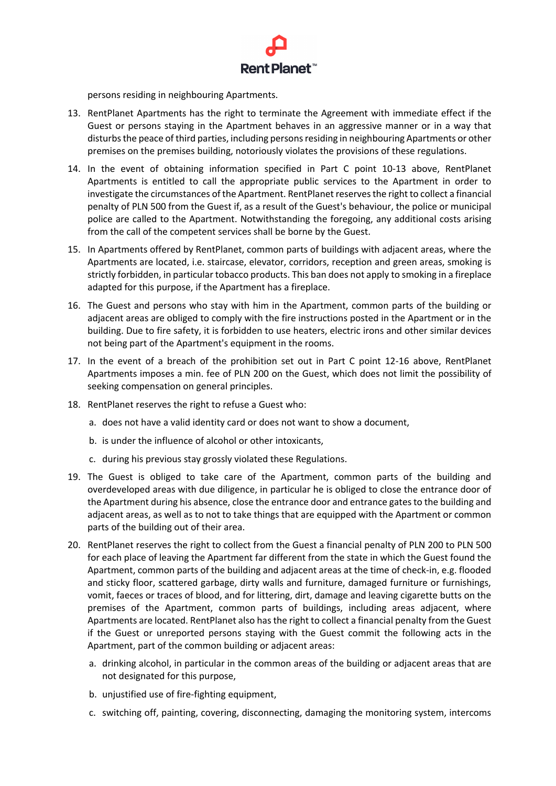

persons residing in neighbouring Apartments.

- 13. RentPlanet Apartments has the right to terminate the Agreement with immediate effect if the Guest or persons staying in the Apartment behaves in an aggressive manner or in a way that disturbs the peace of third parties, including persons residing in neighbouring Apartments or other premises on the premises building, notoriously violates the provisions of these regulations.
- 14. In the event of obtaining information specified in Part C point 10-13 above, RentPlanet Apartments is entitled to call the appropriate public services to the Apartment in order to investigate the circumstances of the Apartment. RentPlanet reserves the right to collect a financial penalty of PLN 500 from the Guest if, as a result of the Guest's behaviour, the police or municipal police are called to the Apartment. Notwithstanding the foregoing, any additional costs arising from the call of the competent services shall be borne by the Guest.
- 15. In Apartments offered by RentPlanet, common parts of buildings with adjacent areas, where the Apartments are located, i.e. staircase, elevator, corridors, reception and green areas, smoking is strictly forbidden, in particular tobacco products. This ban does not apply to smoking in a fireplace adapted for this purpose, if the Apartment has a fireplace.
- 16. The Guest and persons who stay with him in the Apartment, common parts of the building or adjacent areas are obliged to comply with the fire instructions posted in the Apartment or in the building. Due to fire safety, it is forbidden to use heaters, electric irons and other similar devices not being part of the Apartment's equipment in the rooms.
- 17. In the event of a breach of the prohibition set out in Part C point 12-16 above, RentPlanet Apartments imposes a min. fee of PLN 200 on the Guest, which does not limit the possibility of seeking compensation on general principles.
- 18. RentPlanet reserves the right to refuse a Guest who:
	- a. does not have a valid identity card or does not want to show a document,
	- b. is under the influence of alcohol or other intoxicants,
	- c. during his previous stay grossly violated these Regulations.
- 19. The Guest is obliged to take care of the Apartment, common parts of the building and overdeveloped areas with due diligence, in particular he is obliged to close the entrance door of the Apartment during his absence, close the entrance door and entrance gates to the building and adjacent areas, as well as to not to take things that are equipped with the Apartment or common parts of the building out of their area.
- 20. RentPlanet reserves the right to collect from the Guest a financial penalty of PLN 200 to PLN 500 for each place of leaving the Apartment far different from the state in which the Guest found the Apartment, common parts of the building and adjacent areas at the time of check-in, e.g. flooded and sticky floor, scattered garbage, dirty walls and furniture, damaged furniture or furnishings, vomit, faeces or traces of blood, and for littering, dirt, damage and leaving cigarette butts on the premises of the Apartment, common parts of buildings, including areas adjacent, where Apartments are located. RentPlanet also has the right to collect a financial penalty from the Guest if the Guest or unreported persons staying with the Guest commit the following acts in the Apartment, part of the common building or adjacent areas:
	- a. drinking alcohol, in particular in the common areas of the building or adjacent areas that are not designated for this purpose,
	- b. unjustified use of fire-fighting equipment,
	- c. switching off, painting, covering, disconnecting, damaging the monitoring system, intercoms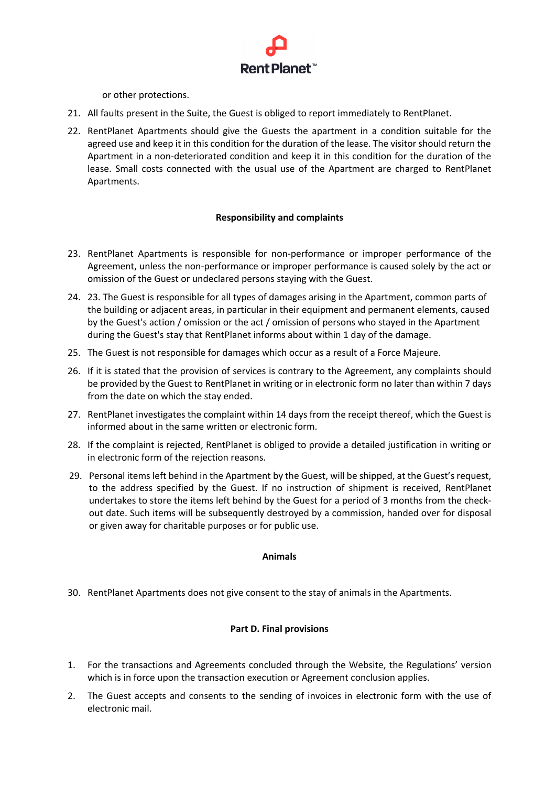

or other protections.

- 21. All faults present in the Suite, the Guest is obliged to report immediately to RentPlanet.
- 22. RentPlanet Apartments should give the Guests the apartment in a condition suitable for the agreed use and keep it in this condition for the duration of the lease. The visitor should return the Apartment in a non-deteriorated condition and keep it in this condition for the duration of the lease. Small costs connected with the usual use of the Apartment are charged to RentPlanet Apartments.

### **Responsibility and complaints**

- 23. RentPlanet Apartments is responsible for non-performance or improper performance of the Agreement, unless the non-performance or improper performance is caused solely by the act or omission of the Guest or undeclared persons staying with the Guest.
- 24. 23. The Guest is responsible for all types of damages arising in the Apartment, common parts of the building or adjacent areas, in particular in their equipment and permanent elements, caused by the Guest's action / omission or the act / omission of persons who stayed in the Apartment during the Guest's stay that RentPlanet informs about within 1 day of the damage.
- 25. The Guest is not responsible for damages which occur as a result of a Force Majeure.
- 26. If it is stated that the provision of services is contrary to the Agreement, any complaints should be provided by the Guest to RentPlanet in writing or in electronic form no later than within 7 days from the date on which the stay ended.
- 27. RentPlanet investigates the complaint within 14 days from the receipt thereof, which the Guest is informed about in the same written or electronic form.
- 28. If the complaint is rejected, RentPlanet is obliged to provide a detailed justification in writing or in electronic form of the rejection reasons.
- 29. Personal items left behind in the Apartment by the Guest, will be shipped, at the Guest's request, to the address specified by the Guest. If no instruction of shipment is received, RentPlanet undertakes to store the items left behind by the Guest for a period of 3 months from the checkout date. Such items will be subsequently destroyed by a commission, handed over for disposal or given away for charitable purposes or for public use.

### **Animals**

30. RentPlanet Apartments does not give consent to the stay of animals in the Apartments.

## **Part D. Final provisions**

- 1. For the transactions and Agreements concluded through the Website, the Regulations' version which is in force upon the transaction execution or Agreement conclusion applies.
- 2. The Guest accepts and consents to the sending of invoices in electronic form with the use of electronic mail.